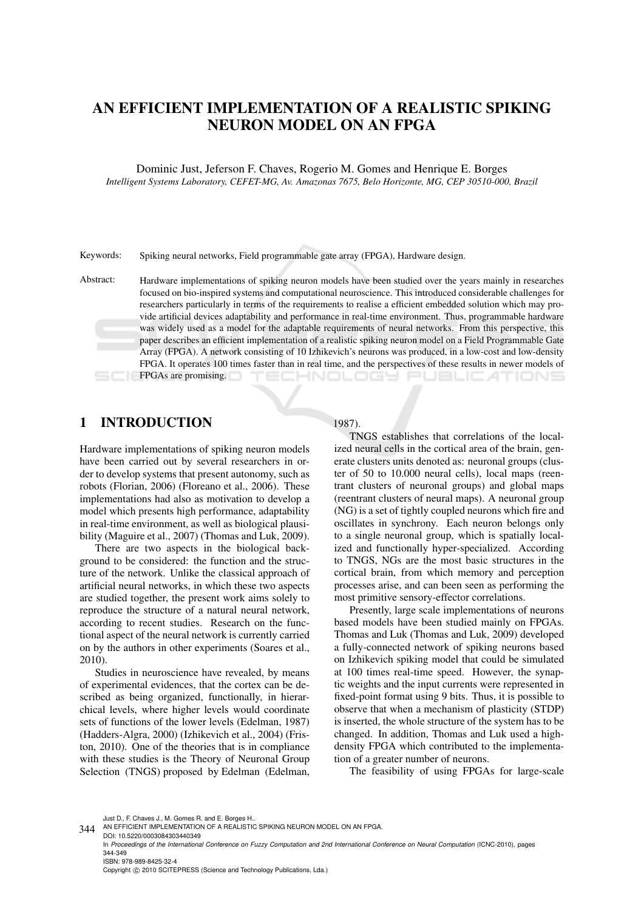# AN EFFICIENT IMPLEMENTATION OF A REALISTIC SPIKING NEURON MODEL ON AN FPGA

Dominic Just, Jeferson F. Chaves, Rogerio M. Gomes and Henrique E. Borges *Intelligent Systems Laboratory, CEFET-MG, Av. Amazonas 7675, Belo Horizonte, MG, CEP 30510-000, Brazil*

Keywords: Spiking neural networks, Field programmable gate array (FPGA), Hardware design.

Abstract: Hardware implementations of spiking neuron models have been studied over the years mainly in researches focused on bio-inspired systems and computational neuroscience. This introduced considerable challenges for researchers particularly in terms of the requirements to realise a efficient embedded solution which may provide artificial devices adaptability and performance in real-time environment. Thus, programmable hardware was widely used as a model for the adaptable requirements of neural networks. From this perspective, this paper describes an efficient implementation of a realistic spiking neuron model on a Field Programmable Gate Array (FPGA). A network consisting of 10 Izhikevich's neurons was produced, in a low-cost and low-density FPGA. It operates 100 times faster than in real time, and the perspectives of these results in newer models of FPGAs are promising. ECHNOLOGY PUBLIC 41 TIONS

# 1 INTRODUCTION

Hardware implementations of spiking neuron models have been carried out by several researchers in order to develop systems that present autonomy, such as robots (Florian, 2006) (Floreano et al., 2006). These implementations had also as motivation to develop a model which presents high performance, adaptability in real-time environment, as well as biological plausibility (Maguire et al., 2007) (Thomas and Luk, 2009).

There are two aspects in the biological background to be considered: the function and the structure of the network. Unlike the classical approach of artificial neural networks, in which these two aspects are studied together, the present work aims solely to reproduce the structure of a natural neural network, according to recent studies. Research on the functional aspect of the neural network is currently carried on by the authors in other experiments (Soares et al., 2010).

Studies in neuroscience have revealed, by means of experimental evidences, that the cortex can be described as being organized, functionally, in hierarchical levels, where higher levels would coordinate sets of functions of the lower levels (Edelman, 1987) (Hadders-Algra, 2000) (Izhikevich et al., 2004) (Friston, 2010). One of the theories that is in compliance with these studies is the Theory of Neuronal Group Selection (TNGS) proposed by Edelman (Edelman,

#### 1987).

TNGS establishes that correlations of the localized neural cells in the cortical area of the brain, generate clusters units denoted as: neuronal groups (cluster of 50 to 10.000 neural cells), local maps (reentrant clusters of neuronal groups) and global maps (reentrant clusters of neural maps). A neuronal group (NG) is a set of tightly coupled neurons which fire and oscillates in synchrony. Each neuron belongs only to a single neuronal group, which is spatially localized and functionally hyper-specialized. According to TNGS, NGs are the most basic structures in the cortical brain, from which memory and perception processes arise, and can been seen as performing the most primitive sensory-effector correlations.

Presently, large scale implementations of neurons based models have been studied mainly on FPGAs. Thomas and Luk (Thomas and Luk, 2009) developed a fully-connected network of spiking neurons based on Izhikevich spiking model that could be simulated at 100 times real-time speed. However, the synaptic weights and the input currents were represented in fixed-point format using 9 bits. Thus, it is possible to observe that when a mechanism of plasticity (STDP) is inserted, the whole structure of the system has to be changed. In addition, Thomas and Luk used a highdensity FPGA which contributed to the implementation of a greater number of neurons.

The feasibility of using FPGAs for large-scale

Just D., F. Chaves J., M. Gomes R. and E. Borges H..

<sup>344</sup> AN EFFICIENT IMPLEMENTATION OF A REALISTIC SPIKING NEURON MODEL ON AN FPGA.

DOI: 10.5220/0003084303440349 In *Proceedings of the International Conference on Fuzzy Computation and 2nd International Conference on Neural Computation* (ICNC-2010), pages 344-349 ISBN: 978-989-8425-32-4 Copyright © 2010 SCITEPRESS (Science and Technology Publications, Lda.)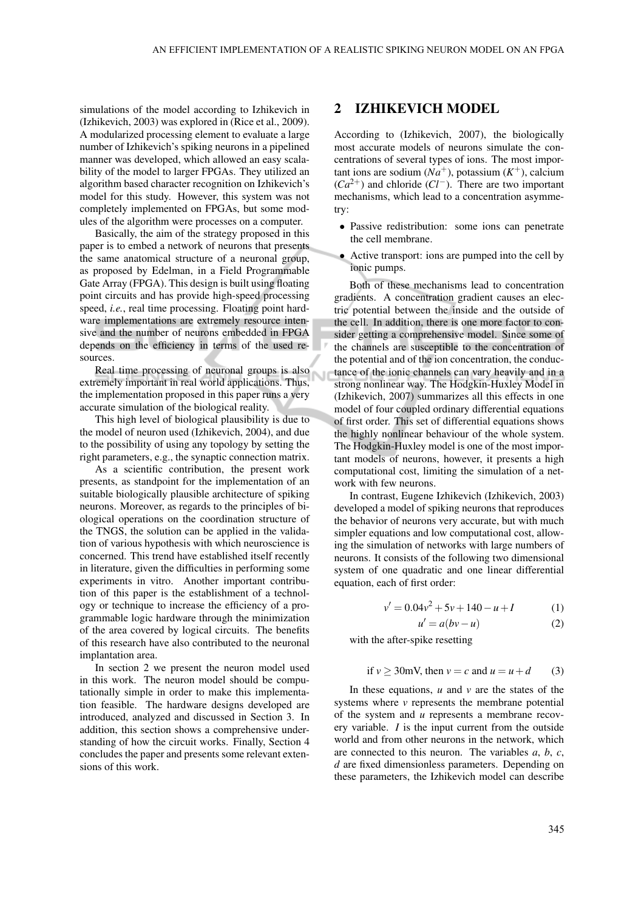simulations of the model according to Izhikevich in (Izhikevich, 2003) was explored in (Rice et al., 2009). A modularized processing element to evaluate a large number of Izhikevich's spiking neurons in a pipelined manner was developed, which allowed an easy scalability of the model to larger FPGAs. They utilized an algorithm based character recognition on Izhikevich's model for this study. However, this system was not completely implemented on FPGAs, but some modules of the algorithm were processes on a computer.

Basically, the aim of the strategy proposed in this paper is to embed a network of neurons that presents the same anatomical structure of a neuronal group, as proposed by Edelman, in a Field Programmable Gate Array (FPGA). This design is built using floating point circuits and has provide high-speed processing speed, *i.e.*, real time processing. Floating point hardware implementations are extremely resource intensive and the number of neurons embedded in FPGA depends on the efficiency in terms of the used resources.

Real time processing of neuronal groups is also extremely important in real world applications. Thus, the implementation proposed in this paper runs a very accurate simulation of the biological reality.

This high level of biological plausibility is due to the model of neuron used (Izhikevich, 2004), and due to the possibility of using any topology by setting the right parameters, e.g., the synaptic connection matrix.

As a scientific contribution, the present work presents, as standpoint for the implementation of an suitable biologically plausible architecture of spiking neurons. Moreover, as regards to the principles of biological operations on the coordination structure of the TNGS, the solution can be applied in the validation of various hypothesis with which neuroscience is concerned. This trend have established itself recently in literature, given the difficulties in performing some experiments in vitro. Another important contribution of this paper is the establishment of a technology or technique to increase the efficiency of a programmable logic hardware through the minimization of the area covered by logical circuits. The benefits of this research have also contributed to the neuronal implantation area.

In section 2 we present the neuron model used in this work. The neuron model should be computationally simple in order to make this implementation feasible. The hardware designs developed are introduced, analyzed and discussed in Section 3. In addition, this section shows a comprehensive understanding of how the circuit works. Finally, Section 4 concludes the paper and presents some relevant extensions of this work.

#### 2 IZHIKEVICH MODEL

According to (Izhikevich, 2007), the biologically most accurate models of neurons simulate the concentrations of several types of ions. The most impor- $\tan$ t ions are sodium  $(Na^+)$ , potassium  $(K^+)$ , calcium (*Ca*2+) and chloride (*Cl*−). There are two important mechanisms, which lead to a concentration asymmetry:

- Passive redistribution: some ions can penetrate the cell membrane.
- Active transport: ions are pumped into the cell by ionic pumps.

Both of these mechanisms lead to concentration gradients. A concentration gradient causes an electric potential between the inside and the outside of the cell. In addition, there is one more factor to consider getting a comprehensive model. Since some of the channels are susceptible to the concentration of the potential and of the ion concentration, the conductance of the ionic channels can vary heavily and in a strong nonlinear way. The Hodgkin-Huxley Model in (Izhikevich, 2007) summarizes all this effects in one model of four coupled ordinary differential equations of first order. This set of differential equations shows the highly nonlinear behaviour of the whole system. The Hodgkin-Huxley model is one of the most important models of neurons, however, it presents a high computational cost, limiting the simulation of a network with few neurons.

In contrast, Eugene Izhikevich (Izhikevich, 2003) developed a model of spiking neurons that reproduces the behavior of neurons very accurate, but with much simpler equations and low computational cost, allowing the simulation of networks with large numbers of neurons. It consists of the following two dimensional system of one quadratic and one linear differential equation, each of first order:

$$
v' = 0.04v^2 + 5v + 140 - u + I \tag{1}
$$

$$
u' = a(bv - u)
$$
 (2)

with the after-spike resetting

if 
$$
v \ge 30
$$
mV, then  $v = c$  and  $u = u + d$  (3)

In these equations,  $u$  and  $v$  are the states of the systems where *v* represents the membrane potential of the system and *u* represents a membrane recovery variable. *I* is the input current from the outside world and from other neurons in the network, which are connected to this neuron. The variables *a*, *b*, *c*, *d* are fixed dimensionless parameters. Depending on these parameters, the Izhikevich model can describe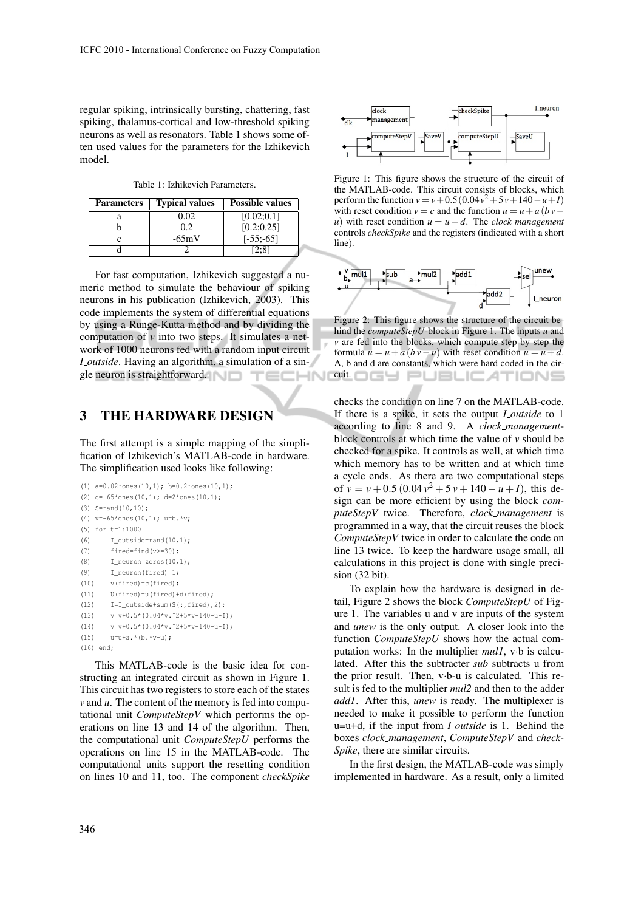regular spiking, intrinsically bursting, chattering, fast spiking, thalamus-cortical and low-threshold spiking neurons as well as resonators. Table 1 shows some often used values for the parameters for the Izhikevich model.

Table 1: Izhikevich Parameters.

| <b>Parameters</b> | <b>Typical values</b> | <b>Possible values</b> |  |
|-------------------|-----------------------|------------------------|--|
|                   | 0.02                  | [0.02;0.1]             |  |
|                   |                       | [0.2; 0.25]            |  |
|                   | $-65mV$               | $[-55:-65]$            |  |
|                   |                       |                        |  |

For fast computation, Izhikevich suggested a numeric method to simulate the behaviour of spiking neurons in his publication (Izhikevich, 2003). This code implements the system of differential equations by using a Runge-Kutta method and by dividing the computation of  $\nu$  into two steps. It simulates a network of 1000 neurons fed with a random input circuit *I outside*. Having an algorithm, a simulation of a single neuron is straightforward.

### 3 THE HARDWARE DESIGN

The first attempt is a simple mapping of the simplification of Izhikevich's MATLAB-code in hardware. The simplification used looks like following:

```
(1) a=0.02*ones(10,1); b=0.2*ones(10,1);(2) c=-65*ones(10,1); d=2*ones(10,1);
(3) S=rand(10,10);
(4) v=-65*ones(10,1); u=b.*v;(5) for t=1:1000
(6) I_outside=rand(10,1);
(7) fired=find(v>=30):
(8) I_ neuron=zeros(10,1);(9) I_neuron(fired)=1;
(10) v(fired)=c(fired);(11) U(fired)=u(fired)+d(fired);
(12) I = I_outside+sum(S(:,fixed),2);(13) v=v+0.5*(0.04*v.^2+5*v+140-u+1);(14) v=v+0.5*(0.04*v.^2+5*y+140-u+1);(15) u=u+a.*(b.*v-u);(16) end;
```
This MATLAB-code is the basic idea for constructing an integrated circuit as shown in Figure 1. This circuit has two registers to store each of the states *v* and *u*. The content of the memory is fed into computational unit *ComputeStepV* which performs the operations on line 13 and 14 of the algorithm. Then, the computational unit *ComputeStepU* performs the operations on line 15 in the MATLAB-code. The computational units support the resetting condition on lines 10 and 11, too. The component *checkSpike*



Figure 1: This figure shows the structure of the circuit of the MATLAB-code. This circuit consists of blocks, which perform the function  $v = v + 0.5(0.04v^2 + 5v + 140 - u + I)$ with reset condition  $v = c$  and the function  $u = u + a$  (*bv*− *u*) with reset condition  $u = u + d$ . The *clock management* controls *checkSpike* and the registers (indicated with a short line).



Figure 2: This figure shows the structure of the circuit behind the *computeStepU*-block in Figure 1. The inputs *u* and *v* are fed into the blocks, which compute step by step the formula  $u = u + a (bv – u)$  with reset condition  $u = u + d$ . A, b and d are constants, which were hard coded in the cir-<sup>cuit.</sup> OGY PUBLIC*A*TIONS

checks the condition on line 7 on the MATLAB-code. If there is a spike, it sets the output *I outside* to 1 according to line 8 and 9. A *clock management*block controls at which time the value of *v* should be checked for a spike. It controls as well, at which time which memory has to be written and at which time a cycle ends. As there are two computational steps of  $v = v + 0.5 (0.04 v^2 + 5 v + 140 - u + I)$ , this design can be more efficient by using the block *computeStepV* twice. Therefore, *clock management* is programmed in a way, that the circuit reuses the block *ComputeStepV* twice in order to calculate the code on line 13 twice. To keep the hardware usage small, all calculations in this project is done with single precision (32 bit).

To explain how the hardware is designed in detail, Figure 2 shows the block *ComputeStepU* of Figure 1. The variables u and v are inputs of the system and *unew* is the only output. A closer look into the function *ComputeStepU* shows how the actual computation works: In the multiplier *mul1*, v·b is calculated. After this the subtracter *sub* subtracts u from the prior result. Then, v·b-u is calculated. This result is fed to the multiplier *mul2* and then to the adder *add1*. After this, *unew* is ready. The multiplexer is needed to make it possible to perform the function u=u+d, if the input from *I outside* is 1. Behind the boxes *clock management*, *ComputeStepV* and *check-Spike*, there are similar circuits.

In the first design, the MATLAB-code was simply implemented in hardware. As a result, only a limited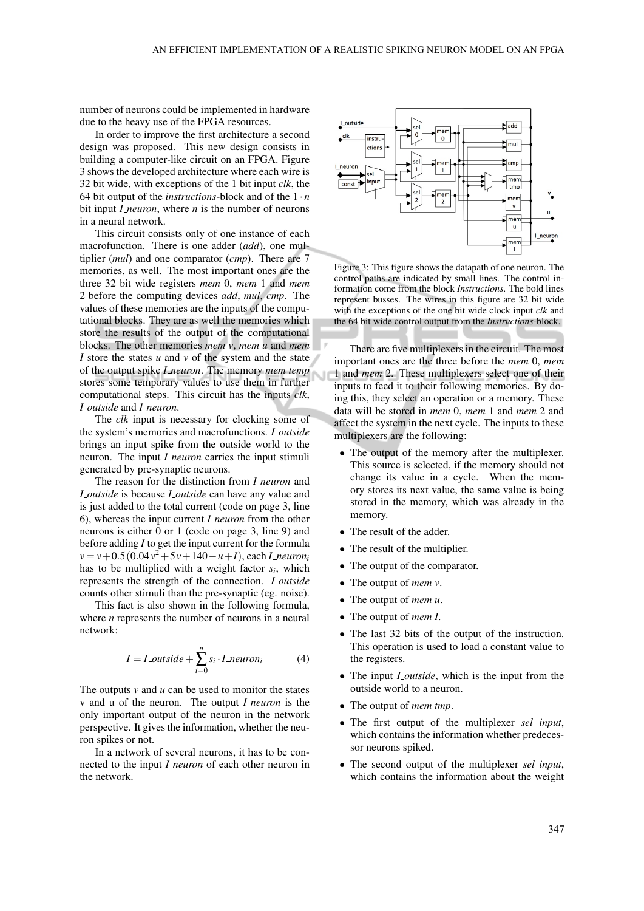number of neurons could be implemented in hardware due to the heavy use of the FPGA resources.

In order to improve the first architecture a second design was proposed. This new design consists in building a computer-like circuit on an FPGA. Figure 3 shows the developed architecture where each wire is 32 bit wide, with exceptions of the 1 bit input *clk*, the 64 bit output of the *instructions*-block and of the  $1 \cdot n$ bit input *I neuron*, where *n* is the number of neurons in a neural network.

This circuit consists only of one instance of each macrofunction. There is one adder (*add*), one multiplier (*mul*) and one comparator (*cmp*). There are 7 memories, as well. The most important ones are the three 32 bit wide registers *mem* 0, *mem* 1 and *mem* 2 before the computing devices *add*, *mul*, *cmp*. The values of these memories are the inputs of the computational blocks. They are as well the memories which store the results of the output of the computational blocks. The other memories *mem v*, *mem u* and *mem I* store the states *u* and *v* of the system and the state of the output spike *I neuron*. The memory *mem temp* stores some temporary values to use them in further computational steps. This circuit has the inputs *clk*, *I outside* and *I neuron*.

The *clk* input is necessary for clocking some of the system's memories and macrofunctions. *I outside* brings an input spike from the outside world to the neuron. The input *I neuron* carries the input stimuli generated by pre-synaptic neurons.

The reason for the distinction from *I neuron* and *I outside* is because *I outside* can have any value and is just added to the total current (code on page 3, line 6), whereas the input current *I neuron* from the other neurons is either 0 or 1 (code on page 3, line 9) and before adding *I* to get the input current for the formula *v* = *v*+0.5(0.04*v* <sup>2</sup>+5*v*+140−*u*+*I*), each *I neuron<sup>i</sup>* has to be multiplied with a weight factor *s<sup>i</sup>* , which represents the strength of the connection. *I outside* counts other stimuli than the pre-synaptic (eg. noise).

This fact is also shown in the following formula, where *n* represents the number of neurons in a neural network:

$$
I = I\_outside + \sum_{i=0}^{n} s_i \cdot I\_neuron_i \tag{4}
$$

The outputs  $v$  and  $u$  can be used to monitor the states v and u of the neuron. The output *I neuron* is the only important output of the neuron in the network perspective. It gives the information, whether the neuron spikes or not.

In a network of several neurons, it has to be connected to the input *I neuron* of each other neuron in the network.



Figure 3: This figure shows the datapath of one neuron. The control paths are indicated by small lines. The control information come from the block *Instructions*. The bold lines represent busses. The wires in this figure are 32 bit wide with the exceptions of the one bit wide clock input *clk* and the 64 bit wide control output from the *Instructions*-block.

There are five multiplexers in the circuit. The most important ones are the three before the *mem* 0, *mem* 1 and *mem* 2. These multiplexers select one of their inputs to feed it to their following memories. By doing this, they select an operation or a memory. These data will be stored in *mem* 0, *mem* 1 and *mem* 2 and affect the system in the next cycle. The inputs to these multiplexers are the following:

- The output of the memory after the multiplexer. This source is selected, if the memory should not change its value in a cycle. When the memory stores its next value, the same value is being stored in the memory, which was already in the memory.
- The result of the adder.
- The result of the multiplier.
- The output of the comparator.
- The output of *mem v*.
- The output of *mem u*.
- The output of *mem I*.
- The last 32 bits of the output of the instruction. This operation is used to load a constant value to the registers.
- The input *I\_outside*, which is the input from the outside world to a neuron.
- The output of *mem tmp*.
- The first output of the multiplexer *sel input*, which contains the information whether predecessor neurons spiked.
- The second output of the multiplexer *sel input*, which contains the information about the weight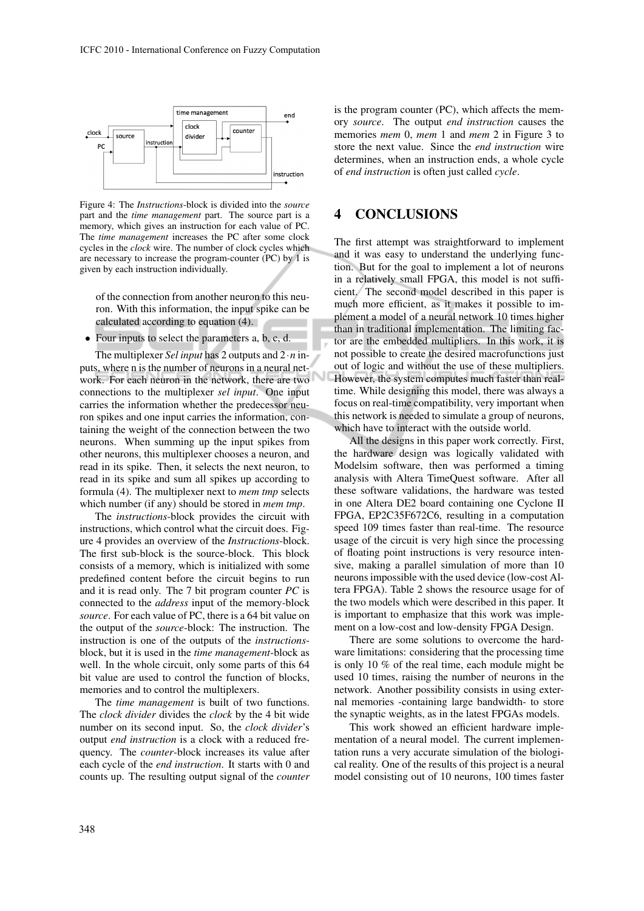

Figure 4: The *Instructions*-block is divided into the *source* part and the *time management* part. The source part is a memory, which gives an instruction for each value of PC. The *time management* increases the PC after some clock cycles in the *clock* wire. The number of clock cycles which are necessary to increase the program-counter (PC) by 1 is given by each instruction individually.

of the connection from another neuron to this neuron. With this information, the input spike can be calculated according to equation (4).

• Four inputs to select the parameters a, b, c, d.

The multiplexer *Sel input* has 2 outputs and 2·*n* inputs, where n is the number of neurons in a neural network. For each neuron in the network, there are two connections to the multiplexer *sel input*. One input carries the information whether the predecessor neuron spikes and one input carries the information, containing the weight of the connection between the two neurons. When summing up the input spikes from other neurons, this multiplexer chooses a neuron, and read in its spike. Then, it selects the next neuron, to read in its spike and sum all spikes up according to formula (4). The multiplexer next to *mem tmp* selects which number (if any) should be stored in *mem tmp*.

The *instructions*-block provides the circuit with instructions, which control what the circuit does. Figure 4 provides an overview of the *Instructions*-block. The first sub-block is the source-block. This block consists of a memory, which is initialized with some predefined content before the circuit begins to run and it is read only. The 7 bit program counter *PC* is connected to the *address* input of the memory-block *source*. For each value of PC, there is a 64 bit value on the output of the *source*-block: The instruction. The instruction is one of the outputs of the *instructions*block, but it is used in the *time management*-block as well. In the whole circuit, only some parts of this 64 bit value are used to control the function of blocks, memories and to control the multiplexers.

The *time management* is built of two functions. The *clock divider* divides the *clock* by the 4 bit wide number on its second input. So, the *clock divider*'s output *end instruction* is a clock with a reduced frequency. The *counter*-block increases its value after each cycle of the *end instruction*. It starts with 0 and counts up. The resulting output signal of the *counter* is the program counter (PC), which affects the memory *source*. The output *end instruction* causes the memories *mem* 0, *mem* 1 and *mem* 2 in Figure 3 to store the next value. Since the *end instruction* wire determines, when an instruction ends, a whole cycle of *end instruction* is often just called *cycle*.

### 4 CONCLUSIONS

The first attempt was straightforward to implement and it was easy to understand the underlying function. But for the goal to implement a lot of neurons in a relatively small FPGA, this model is not sufficient. The second model described in this paper is much more efficient, as it makes it possible to implement a model of a neural network 10 times higher than in traditional implementation. The limiting factor are the embedded multipliers. In this work, it is not possible to create the desired macrofunctions just out of logic and without the use of these multipliers. However, the system computes much faster than realtime. While designing this model, there was always a focus on real-time compatibility, very important when this network is needed to simulate a group of neurons, which have to interact with the outside world.

All the designs in this paper work correctly. First, the hardware design was logically validated with Modelsim software, then was performed a timing analysis with Altera TimeQuest software. After all these software validations, the hardware was tested in one Altera DE2 board containing one Cyclone II FPGA, EP2C35F672C6, resulting in a computation speed 109 times faster than real-time. The resource usage of the circuit is very high since the processing of floating point instructions is very resource intensive, making a parallel simulation of more than 10 neurons impossible with the used device (low-cost Altera FPGA). Table 2 shows the resource usage for of the two models which were described in this paper. It is important to emphasize that this work was implement on a low-cost and low-density FPGA Design.

There are some solutions to overcome the hardware limitations: considering that the processing time is only 10 % of the real time, each module might be used 10 times, raising the number of neurons in the network. Another possibility consists in using external memories -containing large bandwidth- to store the synaptic weights, as in the latest FPGAs models.

This work showed an efficient hardware implementation of a neural model. The current implementation runs a very accurate simulation of the biological reality. One of the results of this project is a neural model consisting out of 10 neurons, 100 times faster